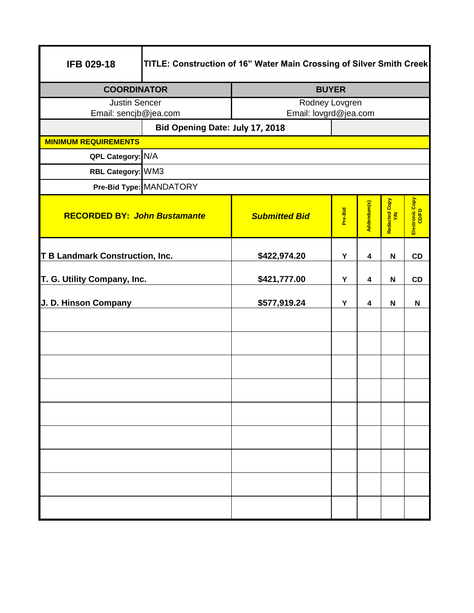| <b>IFB 029-18</b>                      | TITLE: Construction of 16" Water Main Crossing of Silver Smith Creek |                       |              |             |                     |                          |
|----------------------------------------|----------------------------------------------------------------------|-----------------------|--------------|-------------|---------------------|--------------------------|
| <b>COORDINATOR</b>                     |                                                                      |                       | <b>BUYER</b> |             |                     |                          |
| <b>Justin Sencer</b>                   |                                                                      | Rodney Lovgren        |              |             |                     |                          |
| Email: sencjb@jea.com                  |                                                                      | Email: lovgrd@jea.com |              |             |                     |                          |
| <b>MINIMUM REQUIREMENTS</b>            | Bid Opening Date: July 17, 2018                                      |                       |              |             |                     |                          |
| QPL Category: N/A                      |                                                                      |                       |              |             |                     |                          |
| RBL Category: WM3                      |                                                                      |                       |              |             |                     |                          |
| Pre-Bid Type: MANDATORY                |                                                                      |                       |              |             |                     |                          |
| <b>RECORDED BY: John Bustamante</b>    |                                                                      | <b>Submitted Bid</b>  | Pre-Bid      | Addendum(s) | Redacted Copy<br>YM | Electronic Copy<br>CD/FD |
| <b>T B Landmark Construction, Inc.</b> |                                                                      | \$422,974.20          | Υ            | 4           | N                   | CD                       |
| T. G. Utility Company, Inc.            |                                                                      | \$421,777.00          | Υ            | 4           | N                   | CD                       |
| J. D. Hinson Company                   |                                                                      | \$577,919.24          | Υ            | 4           | N                   | N                        |
|                                        |                                                                      |                       |              |             |                     |                          |
|                                        |                                                                      |                       |              |             |                     |                          |
|                                        |                                                                      |                       |              |             |                     |                          |
|                                        |                                                                      |                       |              |             |                     |                          |
|                                        |                                                                      |                       |              |             |                     |                          |
|                                        |                                                                      |                       |              |             |                     |                          |
|                                        |                                                                      |                       |              |             |                     |                          |
|                                        |                                                                      |                       |              |             |                     |                          |
|                                        |                                                                      |                       |              |             |                     |                          |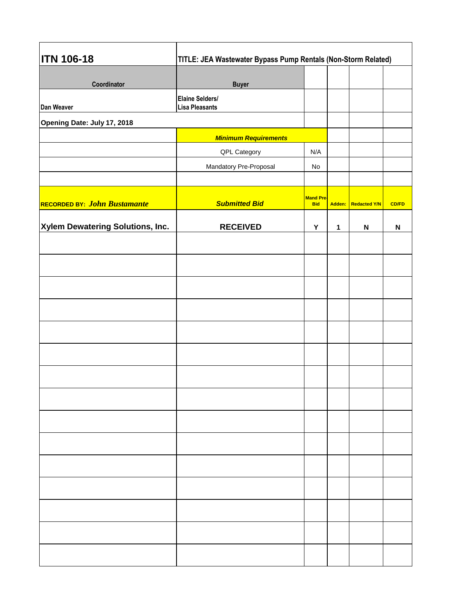| <b>ITN 106-18</b>                | TITLE: JEA Wastewater Bypass Pump Rentals (Non-Storm Related) |                                |        |                           |              |  |
|----------------------------------|---------------------------------------------------------------|--------------------------------|--------|---------------------------|--------------|--|
| Coordinator                      | <b>Buyer</b>                                                  |                                |        |                           |              |  |
| Dan Weaver                       | Elaine Selders/<br><b>Lisa Pleasants</b>                      |                                |        |                           |              |  |
| Opening Date: July 17, 2018      |                                                               |                                |        |                           |              |  |
|                                  | <b>Minimum Requirements</b>                                   |                                |        |                           |              |  |
|                                  | QPL Category                                                  | N/A                            |        |                           |              |  |
|                                  | Mandatory Pre-Proposal                                        | No                             |        |                           |              |  |
| RECORDED BY: John Bustamante     | <b>Submitted Bid</b>                                          | <b>Mand Pre-</b><br><b>Bid</b> | Adden: | <b>Redacted Y/N</b>       | <b>CD/FD</b> |  |
| Xylem Dewatering Solutions, Inc. | <b>RECEIVED</b>                                               | Y                              |        | $\boldsymbol{\mathsf{N}}$ | $\mathsf{N}$ |  |
|                                  |                                                               |                                |        |                           |              |  |
|                                  |                                                               |                                |        |                           |              |  |
|                                  |                                                               |                                |        |                           |              |  |
|                                  |                                                               |                                |        |                           |              |  |
|                                  |                                                               |                                |        |                           |              |  |
|                                  |                                                               |                                |        |                           |              |  |
|                                  |                                                               |                                |        |                           |              |  |
|                                  |                                                               |                                |        |                           |              |  |
|                                  |                                                               |                                |        |                           |              |  |
|                                  |                                                               |                                |        |                           |              |  |
|                                  |                                                               |                                |        |                           |              |  |
|                                  |                                                               |                                |        |                           |              |  |
|                                  |                                                               |                                |        |                           |              |  |
|                                  |                                                               |                                |        |                           |              |  |
|                                  |                                                               |                                |        |                           |              |  |
|                                  |                                                               |                                |        |                           |              |  |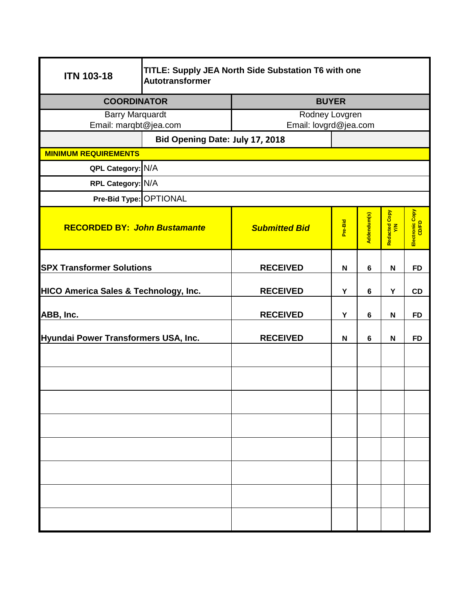| <b>ITN 103-18</b>                                | TITLE: Supply JEA North Side Substation T6 with one<br>Autotransformer |                       |                |                |                           |                 |
|--------------------------------------------------|------------------------------------------------------------------------|-----------------------|----------------|----------------|---------------------------|-----------------|
| <b>COORDINATOR</b>                               |                                                                        | <b>BUYER</b>          |                |                |                           |                 |
| <b>Barry Marquardt</b>                           |                                                                        |                       | Rodney Lovgren |                |                           |                 |
| Email: marqbt@jea.com                            |                                                                        | Email: lovgrd@jea.com |                |                |                           |                 |
|                                                  | Bid Opening Date: July 17, 2018                                        |                       |                |                |                           |                 |
| <b>MINIMUM REQUIREMENTS</b>                      |                                                                        |                       |                |                |                           |                 |
| QPL Category: N/A                                |                                                                        |                       |                |                |                           |                 |
| RPL Category: N/A                                |                                                                        |                       |                |                |                           |                 |
| Pre-Bid Type: OPTIONAL                           |                                                                        |                       |                |                |                           |                 |
| <b>RECORDED BY: John Bustamante</b>              |                                                                        | <b>Submitted Bid</b>  | Pre-Bid        | Addendum(s)    | Redacted Copy<br>Y/N      | Electronic Copy |
| <b>SPX Transformer Solutions</b>                 |                                                                        | <b>RECEIVED</b>       | N              | 6              | $\mathsf N$               | <b>FD</b>       |
| <b>HICO America Sales &amp; Technology, Inc.</b> |                                                                        | <b>RECEIVED</b>       | Υ              | $\bf 6$        | Y                         | CD              |
| ABB, Inc.                                        |                                                                        | <b>RECEIVED</b>       | Υ              | 6              | N                         | <b>FD</b>       |
| Hyundai Power Transformers USA, Inc.             |                                                                        | <b>RECEIVED</b>       | $\mathbf N$    | $6\phantom{1}$ | $\boldsymbol{\mathsf{N}}$ | <b>FD</b>       |
|                                                  |                                                                        |                       |                |                |                           |                 |
|                                                  |                                                                        |                       |                |                |                           |                 |
|                                                  |                                                                        |                       |                |                |                           |                 |
|                                                  |                                                                        |                       |                |                |                           |                 |
|                                                  |                                                                        |                       |                |                |                           |                 |
|                                                  |                                                                        |                       |                |                |                           |                 |
|                                                  |                                                                        |                       |                |                |                           |                 |
|                                                  |                                                                        |                       |                |                |                           |                 |